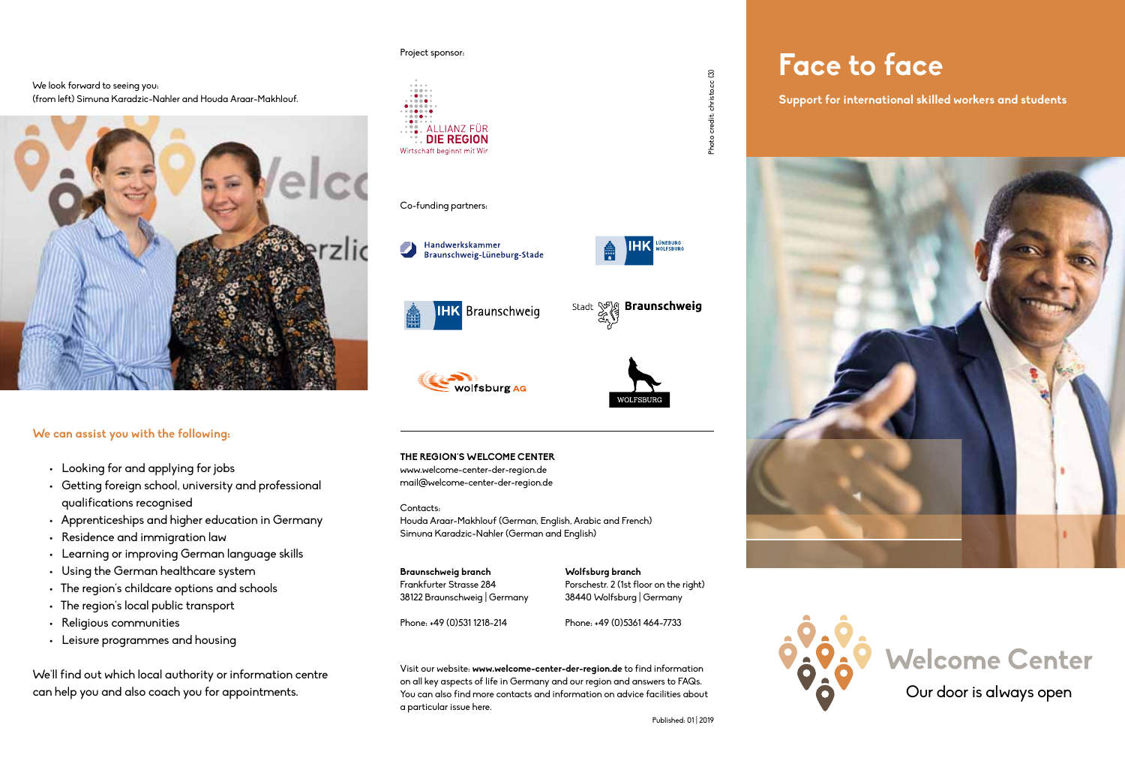### We look forward to seeing you: (from left) Simuna Karadzic-Nahler and Houda Araar-Makhlouf.



### **We can assist you with the following:**

- • Looking for and applying for jobs
- • Getting foreign school, university and professional qualifications recognised
- • Apprenticeships and higher education in Germany
- • Residence and immigration law
- • Learning or improving German language skills
- • Using the German healthcare system
- The region's childcare options and schools
- • The region's local public transport
- • Religious communities
- • Leisure programmes and housing

We'll find out which local authority or information centre can help you and also coach you for appointments.

#### Project sponsor:



### Co-funding partners:







Stadt (P)

**HK** LÜNEBURG

**Braunschweig** 

**THE REGION'S WELCOME CENTER**  www.welcome-center-der-region.de mail@welcome-center-der-region.de

Contacts: Houda Araar-Makhlouf (German, English, Arabic and French) Simuna Karadzic-Nahler (German and English)

**Braunschweig branch**  Frankfurter Strasse 284 38122 Braunschweig | Germany

**Wolfsburg branch**  Porschestr. 2 (1st floor on the right) 38440 Wolfsburg | Germany

Phone: +49 (0)531 1218-214

Phone: +49 (0)5361 464-7733

Visit our website: **www.welcome-center-der-region.de** to find information on all key aspects of life in Germany and our region and answers to FAQs. You can also find more contacts and information on advice facilities about a particular issue here.

 $cc(3)$ credit: christo. Photo o

Photo credit: christo.cc (3)

# **Face to face**

**Support for international skilled workers and students**





**NORTH**<br>Wolfsburg AG